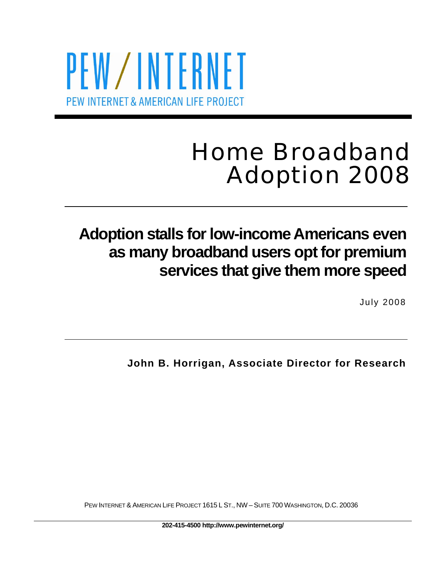# PEW/INTERNET PEW INTERNET & AMERICAN LIFE PROJECT

# Home Broadband Adoption 2008

## **Adoption stalls for low-income Americans even as many broadband users opt for premium services that give them more speed**

July 2008

**John B. Horrigan, Associate Director for Research** 

PEW INTERNET & AMERICAN LIFE PROJECT 1615 L ST., NW – SUITE 700 WASHINGTON, D.C. 20036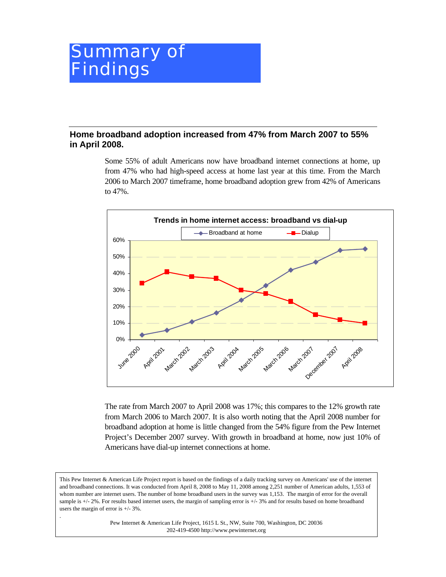## Summary of Findings

#### **Home broadband adoption increased from 47% from March 2007 to 55% in April 2008.**

Some 55% of adult Americans now have broadband internet connections at home, up from 47% who had high-speed access at home last year at this time. From the March 2006 to March 2007 timeframe, home broadband adoption grew from 42% of Americans to 47%.



The rate from March 2007 to April 2008 was 17%; this compares to the 12% growth rate from March 2006 to March 2007. It is also worth noting that the April 2008 number for broadband adoption at home is little changed from the 54% figure from the Pew Internet Project's December 2007 survey. With growth in broadband at home, now just 10% of Americans have dial-up internet connections at home.

Pew Internet & American Life Project, 1615 L St., NW, Suite 700, Washington, DC 20036 202-419-4500 http://www.pewinternet.org

.

This Pew Internet & American Life Project report is based on the findings of a daily tracking survey on Americans' use of the internet and broadband connections. It was conducted from April 8, 2008 to May 11, 2008 among 2,251 number of American adults, 1,553 of whom number are internet users. The number of home broadband users in the survey was 1,153. The margin of error for the overall sample is  $+/- 2\%$ . For results based internet users, the margin of sampling error is  $+/- 3\%$  and for results based on home broadband users the margin of error is +/- 3%.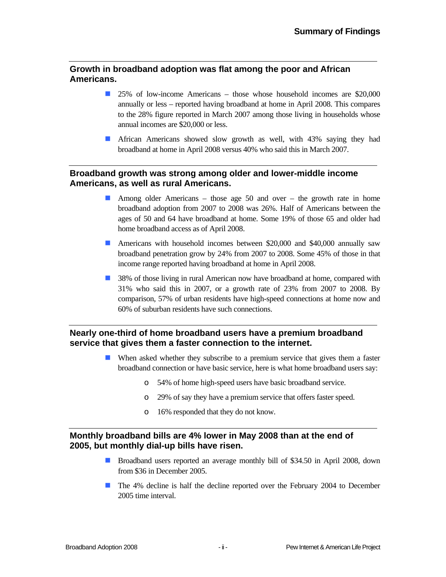#### **Growth in broadband adoption was flat among the poor and African Americans.**

- 25% of low-income Americans those whose household incomes are \$20,000 annually or less – reported having broadband at home in April 2008. This compares to the 28% figure reported in March 2007 among those living in households whose annual incomes are \$20,000 or less.
- **African Americans showed slow growth as well, with 43% saying they had** broadband at home in April 2008 versus 40% who said this in March 2007.

#### **Broadband growth was strong among older and lower-middle income Americans, as well as rural Americans.**

- Among older Americans those age 50 and over the growth rate in home broadband adoption from 2007 to 2008 was 26%. Half of Americans between the ages of 50 and 64 have broadband at home. Some 19% of those 65 and older had home broadband access as of April 2008.
- Americans with household incomes between \$20,000 and \$40,000 annually saw broadband penetration grow by 24% from 2007 to 2008. Some 45% of those in that income range reported having broadband at home in April 2008.
- **38%** of those living in rural American now have broadband at home, compared with 31% who said this in 2007, or a growth rate of 23% from 2007 to 2008. By comparison, 57% of urban residents have high-speed connections at home now and 60% of suburban residents have such connections.

#### **Nearly one-third of home broadband users have a premium broadband service that gives them a faster connection to the internet.**

- When asked whether they subscribe to a premium service that gives them a faster broadband connection or have basic service, here is what home broadband users say:
	- o 54% of home high-speed users have basic broadband service.
	- o 29% of say they have a premium service that offers faster speed.
	- o 16% responded that they do not know.

#### **Monthly broadband bills are 4% lower in May 2008 than at the end of 2005, but monthly dial-up bills have risen.**

- **Broadband users reported an average monthly bill of \$34.50 in April 2008, down** from \$36 in December 2005.
- The 4% decline is half the decline reported over the February 2004 to December 2005 time interval.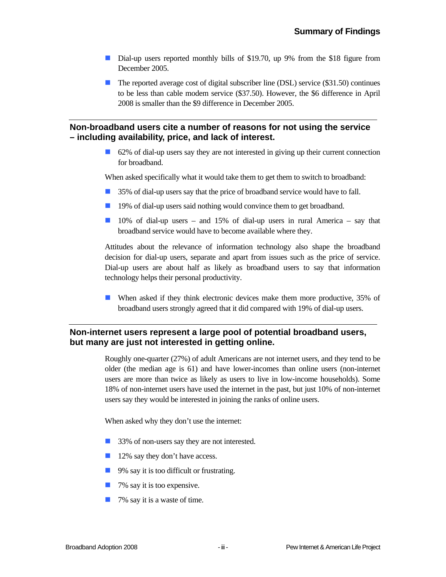- Dial-up users reported monthly bills of \$19.70, up 9% from the \$18 figure from December 2005.
- The reported average cost of digital subscriber line (DSL) service (\$31.50) continues to be less than cable modem service (\$37.50). However, the \$6 difference in April 2008 is smaller than the \$9 difference in December 2005.

#### **Non-broadband users cite a number of reasons for not using the service – including availability, price, and lack of interest.**

62% of dial-up users say they are not interested in giving up their current connection for broadband.

When asked specifically what it would take them to get them to switch to broadband:

- 35% of dial-up users say that the price of broadband service would have to fall.
- **19%** of dial-up users said nothing would convince them to get broadband.
- $\Box$  10% of dial-up users and 15% of dial-up users in rural America say that broadband service would have to become available where they.

Attitudes about the relevance of information technology also shape the broadband decision for dial-up users, separate and apart from issues such as the price of service. Dial-up users are about half as likely as broadband users to say that information technology helps their personal productivity.

 When asked if they think electronic devices make them more productive, 35% of broadband users strongly agreed that it did compared with 19% of dial-up users.

#### **Non-internet users represent a large pool of potential broadband users, but many are just not interested in getting online.**

Roughly one-quarter (27%) of adult Americans are not internet users, and they tend to be older (the median age is 61) and have lower-incomes than online users (non-internet users are more than twice as likely as users to live in low-income households). Some 18% of non-internet users have used the internet in the past, but just 10% of non-internet users say they would be interested in joining the ranks of online users.

When asked why they don't use the internet:

- 33% of non-users say they are not interested.
- 12% say they don't have access.
- 9% say it is too difficult or frustrating.
- $\blacksquare$  7% say it is too expensive.
- 7% say it is a waste of time.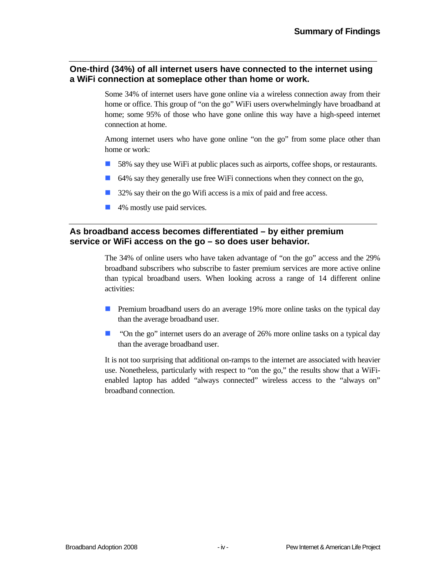#### **One-third (34%) of all internet users have connected to the internet using a WiFi connection at someplace other than home or work.**

Some 34% of internet users have gone online via a wireless connection away from their home or office. This group of "on the go" WiFi users overwhelmingly have broadband at home; some 95% of those who have gone online this way have a high-speed internet connection at home.

Among internet users who have gone online "on the go" from some place other than home or work:

- 58% say they use WiFi at public places such as airports, coffee shops, or restaurants.
- 64% say they generally use free WiFi connections when they connect on the go,
- 32% say their on the go Wifi access is a mix of paid and free access.
- 4% mostly use paid services.

#### **As broadband access becomes differentiated – by either premium service or WiFi access on the go – so does user behavior.**

The 34% of online users who have taken advantage of "on the go" access and the 29% broadband subscribers who subscribe to faster premium services are more active online than typical broadband users. When looking across a range of 14 different online activities:

- **Premium broadband users do an average 19% more online tasks on the typical day** than the average broadband user.
- **Delach 1** "On the go" internet users do an average of 26% more online tasks on a typical day than the average broadband user.

It is not too surprising that additional on-ramps to the internet are associated with heavier use. Nonetheless, particularly with respect to "on the go," the results show that a WiFienabled laptop has added "always connected" wireless access to the "always on" broadband connection.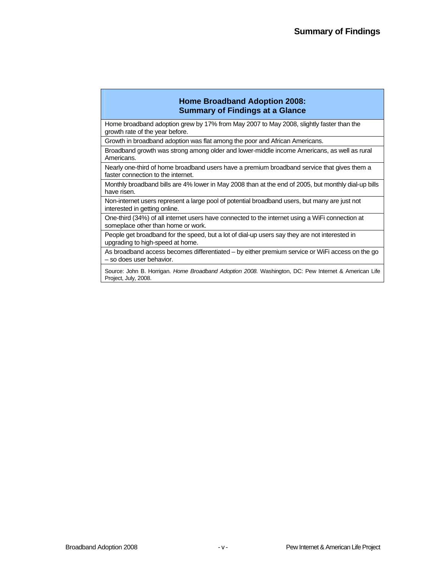#### **Home Broadband Adoption 2008: Summary of Findings at a Glance**

Home broadband adoption grew by 17% from May 2007 to May 2008, slightly faster than the growth rate of the year before.

Growth in broadband adoption was flat among the poor and African Americans.

Broadband growth was strong among older and lower-middle income Americans, as well as rural Americans.

Nearly one-third of home broadband users have a premium broadband service that gives them a faster connection to the internet.

Monthly broadband bills are 4% lower in May 2008 than at the end of 2005, but monthly dial-up bills have risen.

Non-internet users represent a large pool of potential broadband users, but many are just not interested in getting online.

One-third (34%) of all internet users have connected to the internet using a WiFi connection at someplace other than home or work.

People get broadband for the speed, but a lot of dial-up users say they are not interested in upgrading to high-speed at home.

As broadband access becomes differentiated – by either premium service or WiFi access on the go – so does user behavior.

Source: John B. Horrigan. *Home Broadband Adoption 2008.* Washington, DC: Pew Internet & American Life Project, July, 2008.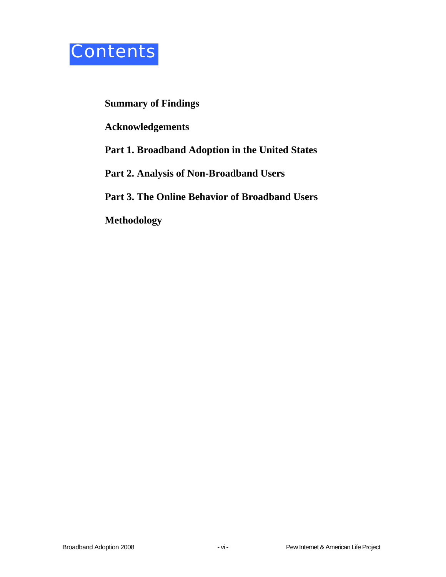

#### **Summary of Findings**

**Acknowledgements** 

**Part 1. Broadband Adoption in the United States** 

**Part 2. Analysis of Non-Broadband Users** 

**Part 3. The Online Behavior of Broadband Users** 

**Methodology**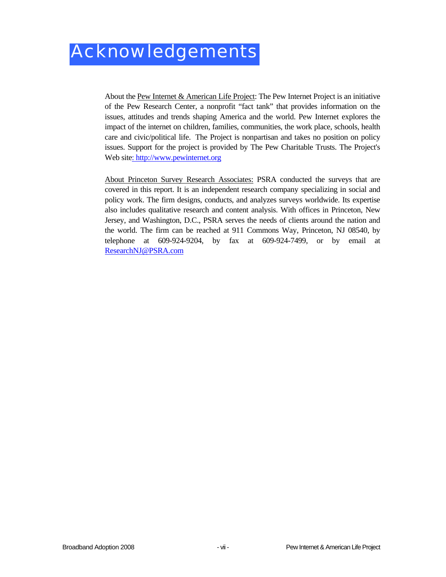About the Pew Internet & American Life Project: The Pew Internet Project is an initiative of the Pew Research Center, a nonprofit "fact tank" that provides information on the issues, attitudes and trends shaping America and the world. Pew Internet explores the impact of the internet on children, families, communities, the work place, schools, health care and civic/political life. The Project is nonpartisan and takes no position on policy issues. Support for the project is provided by The Pew Charitable Trusts. The Project's Web site: http://www.pewinternet.org

About Princeton Survey Research Associates: PSRA conducted the surveys that are covered in this report. It is an independent research company specializing in social and policy work. The firm designs, conducts, and analyzes surveys worldwide. Its expertise also includes qualitative research and content analysis. With offices in Princeton, New Jersey, and Washington, D.C., PSRA serves the needs of clients around the nation and the world. The firm can be reached at 911 Commons Way, Princeton, NJ 08540, by telephone at 609-924-9204, by fax at 609-924-7499, or by email at ResearchNJ@PSRA.com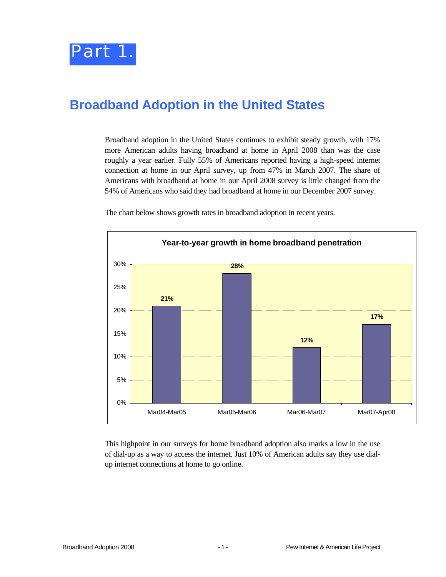

### **Broadband Adoption in the United States**

Broadband adoption in the United States continues to exhibit steady growth, with 17% more American adults having broadband at home in April 2008 than was the case roughly a year earlier. Fully 55% of Americans reported having a high-speed internet connection at home in our April survey, up from 47% in March 2007. The share of Americans with broadband at home in our April 2008 survey is little changed from the 54% of Americans who said they had broadband at home in our December 2007 survey.



The chart below shows growth rates in broadband adoption in recent years.

This highpoint in our surveys for home broadband adoption also marks a low in the use of dial-up as a way to access the internet. Just 10% of American adults say they use dialup internet connections at home to go online.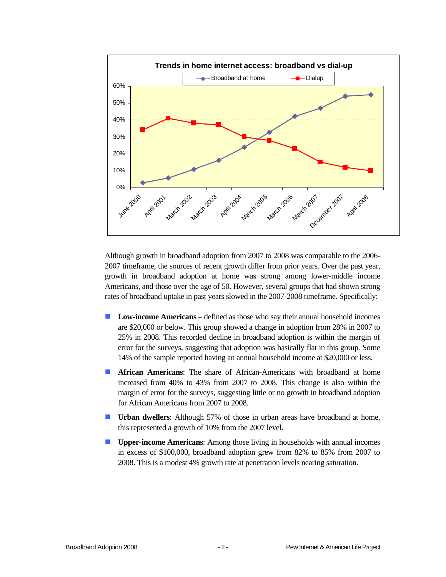

Although growth in broadband adoption from 2007 to 2008 was comparable to the 2006- 2007 timeframe, the sources of recent growth differ from prior years. Over the past year, growth in broadband adoption at home was strong among lower-middle income Americans, and those over the age of 50. However, several groups that had shown strong rates of broadband uptake in past years slowed in the 2007-2008 timeframe. Specifically:

- **Low-income Americans** defined as those who say their annual household incomes are \$20,000 or below. This group showed a change in adoption from 28% in 2007 to 25% in 2008. This recorded decline in broadband adoption is within the margin of error for the surveys, suggesting that adoption was basically flat in this group. Some 14% of the sample reported having an annual household income at \$20,000 or less.
- **African Americans:** The share of African-Americans with broadband at home increased from 40% to 43% from 2007 to 2008. This change is also within the margin of error for the surveys, suggesting little or no growth in broadband adoption for African Americans from 2007 to 2008.
- **Urban dwellers:** Although 57% of those in urban areas have broadband at home, this represented a growth of 10% from the 2007 level.
- **Upper**-**income Americans**: Among those living in households with annual incomes in excess of \$100,000, broadband adoption grew from 82% to 85% from 2007 to 2008. This is a modest 4% growth rate at penetration levels nearing saturation.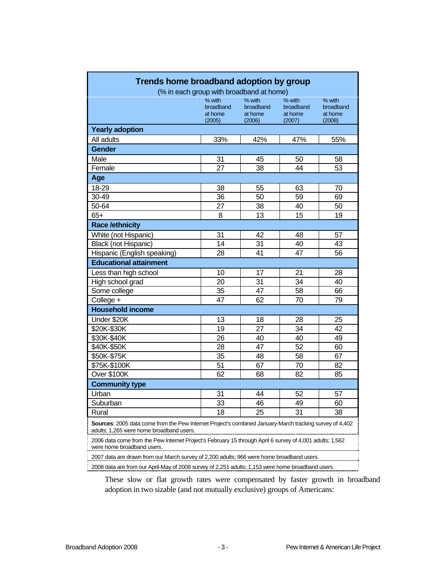|                                                                                                                                                     | % with               | % with               | % with               | % with               |
|-----------------------------------------------------------------------------------------------------------------------------------------------------|----------------------|----------------------|----------------------|----------------------|
|                                                                                                                                                     | broadband<br>at home | broadband<br>at home | broadband<br>at home | broadband<br>at home |
|                                                                                                                                                     | (2005)               | (2006)               | (2007)               | (2008)               |
| <b>Yearly adoption</b>                                                                                                                              |                      |                      |                      |                      |
| All adults                                                                                                                                          | 33%                  | 42%                  | 47%                  | 55%                  |
| <b>Gender</b>                                                                                                                                       |                      |                      |                      |                      |
| Male                                                                                                                                                | 31                   | 45                   | 50                   | 58                   |
| Female                                                                                                                                              | 27                   | 38                   | 44                   | 53                   |
| Age                                                                                                                                                 |                      |                      |                      |                      |
| 18-29                                                                                                                                               | 38                   | 55                   | 63                   | 70                   |
| 30-49                                                                                                                                               | 36                   | 50                   | 59                   | 69                   |
| 50-64                                                                                                                                               | 27                   | 38                   | 40                   | 50                   |
| $65+$                                                                                                                                               | 8                    | 13                   | 15                   | 19                   |
| <b>Race /ethnicity</b>                                                                                                                              |                      |                      |                      |                      |
| White (not Hispanic)                                                                                                                                | 31                   | 42                   | 48                   | 57                   |
| <b>Black (not Hispanic)</b>                                                                                                                         | 14                   | 31                   | 40                   | 43                   |
| Hispanic (English speaking)                                                                                                                         | 28                   | 41                   | 47                   | 56                   |
| <b>Educational attainment</b>                                                                                                                       |                      |                      |                      |                      |
| Less than high school                                                                                                                               | 10                   | 17                   | 21                   | 28                   |
| High school grad                                                                                                                                    | 20                   | 31                   | 34                   | 40                   |
| Some college                                                                                                                                        | 35                   | 47                   | 58                   | 66                   |
| College +                                                                                                                                           | 47                   | 62                   | 70                   | 79                   |
| <b>Household income</b>                                                                                                                             |                      |                      |                      |                      |
| Under \$20K                                                                                                                                         | 13                   | 18                   | 28                   | 25                   |
| \$20K-\$30K                                                                                                                                         | 19                   | 27                   | 34                   | 42                   |
| \$30K-\$40K                                                                                                                                         | 26                   | 40                   | 40                   | 49                   |
| \$40K-\$50K                                                                                                                                         | 28                   | 47                   | 52                   | 60                   |
| \$50K-\$75K                                                                                                                                         | 35                   | 48                   | 58                   | 67                   |
| \$75K-\$100K                                                                                                                                        | 51                   | 67                   | 70                   | 82                   |
| Over \$100K                                                                                                                                         | 62                   | 68                   | 82                   | 85                   |
| <b>Community type</b>                                                                                                                               |                      |                      |                      |                      |
| Urban                                                                                                                                               | 31                   | 44                   | 52                   | 57                   |
| Suburban                                                                                                                                            | 33                   | 46                   | 49                   | 60                   |
| Rural                                                                                                                                               | 18                   | 25                   | 31                   | 38                   |
| Sources: 2005 data come from the Pew Internet Project's combined January-March tracking survey of 4,402<br>adults; 1,265 were home broadband users. |                      |                      |                      |                      |
| 2006 data come from the Pew Internet Project's February 15 through April 6 survey of 4,001 adults; 1,562<br>were home broadband users.              |                      |                      |                      |                      |

These slow or flat growth rates were compensated by faster growth in broadband adoption in two sizable (and not mutually exclusive) groups of Americans: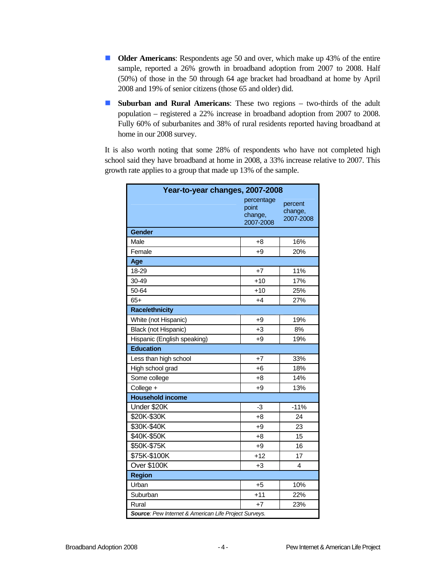- **Older Americans:** Respondents age 50 and over, which make up 43% of the entire sample, reported a 26% growth in broadband adoption from 2007 to 2008. Half (50%) of those in the 50 through 64 age bracket had broadband at home by April 2008 and 19% of senior citizens (those 65 and older) did.
- **Suburban and Rural Americans:** These two regions two-thirds of the adult population – registered a 22% increase in broadband adoption from 2007 to 2008. Fully 60% of suburbanites and 38% of rural residents reported having broadband at home in our 2008 survey.

It is also worth noting that some 28% of respondents who have not completed high school said they have broadband at home in 2008, a 33% increase relative to 2007. This growth rate applies to a group that made up 13% of the sample.

| Year-to-year changes, 2007-2008                       |                                             |                                 |  |  |  |  |
|-------------------------------------------------------|---------------------------------------------|---------------------------------|--|--|--|--|
|                                                       | percentage<br>point<br>change,<br>2007-2008 | percent<br>change,<br>2007-2008 |  |  |  |  |
| <b>Gender</b>                                         |                                             |                                 |  |  |  |  |
| Male                                                  | +8                                          | 16%                             |  |  |  |  |
| Female                                                | +9                                          | 20%                             |  |  |  |  |
| Age                                                   |                                             |                                 |  |  |  |  |
| 18-29                                                 | $+7$                                        | 11%                             |  |  |  |  |
| 30-49                                                 | $+10$                                       | 17%                             |  |  |  |  |
| 50-64                                                 | $+10$                                       | 25%                             |  |  |  |  |
| $65+$                                                 | +4                                          | 27%                             |  |  |  |  |
| <b>Race/ethnicity</b>                                 |                                             |                                 |  |  |  |  |
| White (not Hispanic)                                  | +9                                          | 19%                             |  |  |  |  |
| Black (not Hispanic)                                  | $+3$                                        | 8%                              |  |  |  |  |
| Hispanic (English speaking)                           | $+9$                                        | 19%                             |  |  |  |  |
| <b>Education</b>                                      |                                             |                                 |  |  |  |  |
| Less than high school                                 | $+7$                                        | 33%                             |  |  |  |  |
| High school grad                                      | +6                                          | 18%                             |  |  |  |  |
| Some college                                          | +8                                          | 14%                             |  |  |  |  |
| College +                                             | $+9$                                        | 13%                             |  |  |  |  |
| <b>Household income</b>                               |                                             |                                 |  |  |  |  |
| Under \$20K                                           | -3                                          | $-11%$                          |  |  |  |  |
| \$20K-\$30K                                           | $+8$                                        | 24                              |  |  |  |  |
| \$30K-\$40K                                           | +9                                          | 23                              |  |  |  |  |
| \$40K-\$50K                                           | $+8$                                        | 15                              |  |  |  |  |
| \$50K-\$75K                                           | $+9$                                        | 16                              |  |  |  |  |
| \$75K-\$100K                                          | $+12$                                       | 17                              |  |  |  |  |
| Over \$100K                                           | $+3$                                        | 4                               |  |  |  |  |
| <b>Region</b>                                         |                                             |                                 |  |  |  |  |
| Urban                                                 | $+5$                                        | 10%                             |  |  |  |  |
| Suburban                                              | $+11$                                       | 22%                             |  |  |  |  |
| Rural                                                 | $+7$                                        | 23%                             |  |  |  |  |
| Source: Pew Internet & American Life Project Surveys. |                                             |                                 |  |  |  |  |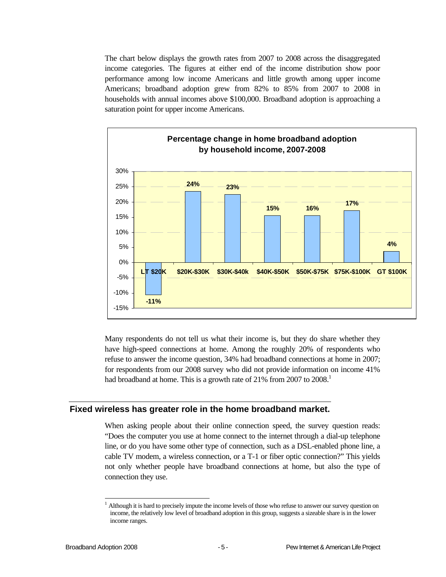The chart below displays the growth rates from 2007 to 2008 across the disaggregated income categories. The figures at either end of the income distribution show poor performance among low income Americans and little growth among upper income Americans; broadband adoption grew from 82% to 85% from 2007 to 2008 in households with annual incomes above \$100,000. Broadband adoption is approaching a saturation point for upper income Americans.



Many respondents do not tell us what their income is, but they do share whether they have high-speed connections at home. Among the roughly 20% of respondents who refuse to answer the income question, 34% had broadband connections at home in 2007; for respondents from our 2008 survey who did not provide information on income 41% had broadband at home. This is a growth rate of 21% from 2007 to 2008.<sup>1</sup>

#### **Fixed wireless has greater role in the home broadband market.**

When asking people about their online connection speed, the survey question reads: "Does the computer you use at home connect to the internet through a dial-up telephone line, or do you have some other type of connection, such as a DSL-enabled phone line, a cable TV modem, a wireless connection, or a T-1 or fiber optic connection?" This yields not only whether people have broadband connections at home, but also the type of connection they use.

 $\overline{a}$ 

<sup>1</sup> Although it is hard to precisely impute the income levels of those who refuse to answer our survey question on income, the relatively low level of broadband adoption in this group, suggests a sizeable share is in the lower income ranges.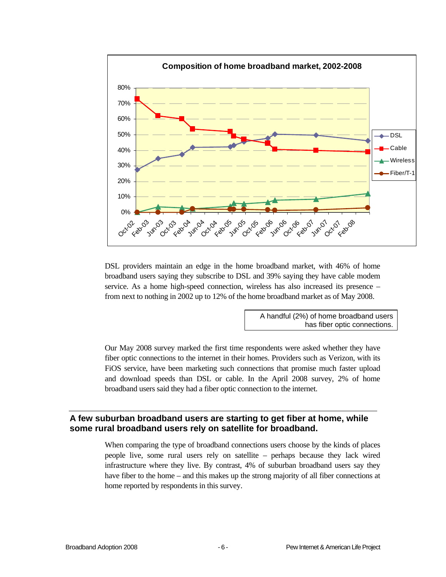

DSL providers maintain an edge in the home broadband market, with 46% of home broadband users saying they subscribe to DSL and 39% saying they have cable modem service. As a home high-speed connection, wireless has also increased its presence – from next to nothing in 2002 up to 12% of the home broadband market as of May 2008.

> A handful (2%) of home broadband users has fiber optic connections.

Our May 2008 survey marked the first time respondents were asked whether they have fiber optic connections to the internet in their homes. Providers such as Verizon, with its FiOS service, have been marketing such connections that promise much faster upload and download speeds than DSL or cable. In the April 2008 survey, 2% of home broadband users said they had a fiber optic connection to the internet.

#### **A few suburban broadband users are starting to get fiber at home, while some rural broadband users rely on satellite for broadband.**

When comparing the type of broadband connections users choose by the kinds of places people live, some rural users rely on satellite – perhaps because they lack wired infrastructure where they live. By contrast, 4% of suburban broadband users say they have fiber to the home – and this makes up the strong majority of all fiber connections at home reported by respondents in this survey.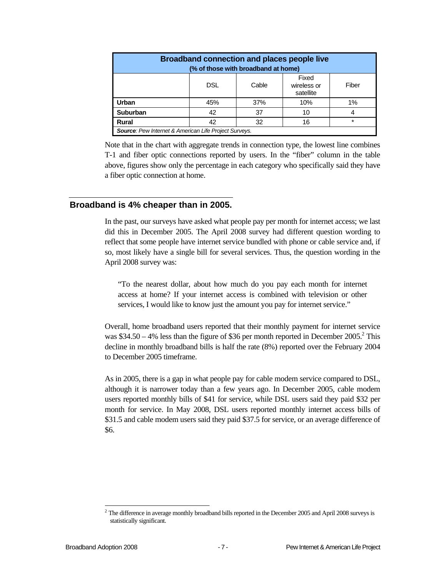| <b>Broadband connection and places people live</b><br>(% of those with broadband at home) |                                                       |       |                                   |       |  |
|-------------------------------------------------------------------------------------------|-------------------------------------------------------|-------|-----------------------------------|-------|--|
|                                                                                           | DSL                                                   | Cable | Fixed<br>wireless or<br>satellite | Fiber |  |
| Urban                                                                                     | 45%                                                   | 37%   | 10%                               | 1%    |  |
| <b>Suburban</b>                                                                           | 42                                                    | 37    | 10                                |       |  |
| Rural                                                                                     | 42                                                    | 32    | 16                                | *     |  |
|                                                                                           | Source: Pew Internet & American Life Project Surveys. |       |                                   |       |  |

Note that in the chart with aggregate trends in connection type, the lowest line combines T-1 and fiber optic connections reported by users. In the "fiber" column in the table above, figures show only the percentage in each category who specifically said they have a fiber optic connection at home.

#### **Broadband is 4% cheaper than in 2005.**

In the past, our surveys have asked what people pay per month for internet access; we last did this in December 2005. The April 2008 survey had different question wording to reflect that some people have internet service bundled with phone or cable service and, if so, most likely have a single bill for several services. Thus, the question wording in the April 2008 survey was:

"To the nearest dollar, about how much do you pay each month for internet access at home? If your internet access is combined with television or other services, I would like to know just the amount you pay for internet service."

Overall, home broadband users reported that their monthly payment for internet service was \$34.50 – 4% less than the figure of \$36 per month reported in December 2005.<sup>2</sup> This decline in monthly broadband bills is half the rate (8%) reported over the February 2004 to December 2005 timeframe.

As in 2005, there is a gap in what people pay for cable modem service compared to DSL, although it is narrower today than a few years ago. In December 2005, cable modem users reported monthly bills of \$41 for service, while DSL users said they paid \$32 per month for service. In May 2008, DSL users reported monthly internet access bills of \$31.5 and cable modem users said they paid \$37.5 for service, or an average difference of \$6.

l  $2$  The difference in average monthly broadband bills reported in the December 2005 and April 2008 surveys is statistically significant.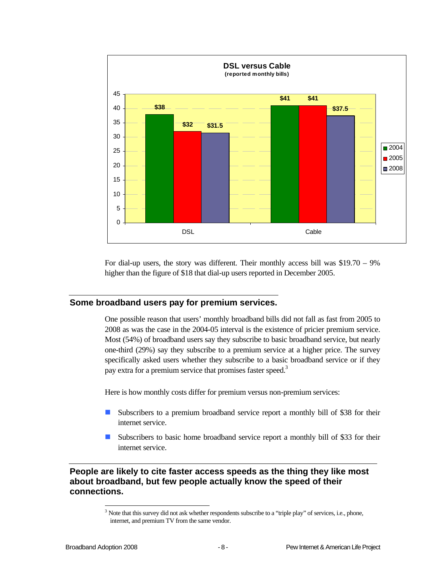

For dial-up users, the story was different. Their monthly access bill was \$19.70 – 9% higher than the figure of \$18 that dial-up users reported in December 2005.

#### **Some broadband users pay for premium services.**

One possible reason that users' monthly broadband bills did not fall as fast from 2005 to 2008 as was the case in the 2004-05 interval is the existence of pricier premium service. Most (54%) of broadband users say they subscribe to basic broadband service, but nearly one-third (29%) say they subscribe to a premium service at a higher price. The survey specifically asked users whether they subscribe to a basic broadband service or if they pay extra for a premium service that promises faster speed.<sup>3</sup>

Here is how monthly costs differ for premium versus non-premium services:

- Subscribers to a premium broadband service report a monthly bill of \$38 for their internet service.
- Subscribers to basic home broadband service report a monthly bill of \$33 for their internet service.

#### **People are likely to cite faster access speeds as the thing they like most about broadband, but few people actually know the speed of their connections.**

1

 $3$  Note that this survey did not ask whether respondents subscribe to a "triple play" of services, i.e., phone, internet, and premium TV from the same vendor.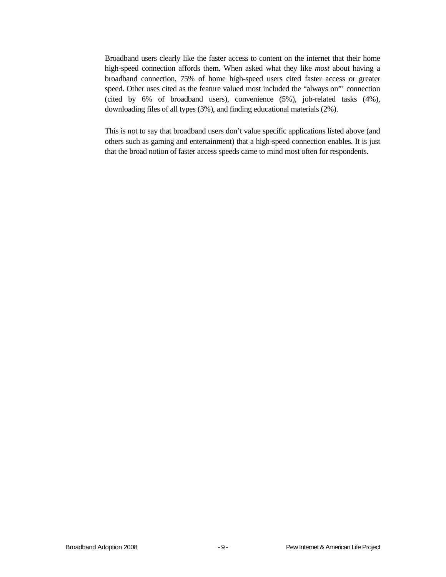Broadband users clearly like the faster access to content on the internet that their home high-speed connection affords them. When asked what they like *most* about having a broadband connection, 75% of home high-speed users cited faster access or greater speed. Other uses cited as the feature valued most included the "always on"' connection (cited by 6% of broadband users), convenience (5%), job-related tasks (4%), downloading files of all types (3%), and finding educational materials (2%).

This is not to say that broadband users don't value specific applications listed above (and others such as gaming and entertainment) that a high-speed connection enables. It is just that the broad notion of faster access speeds came to mind most often for respondents.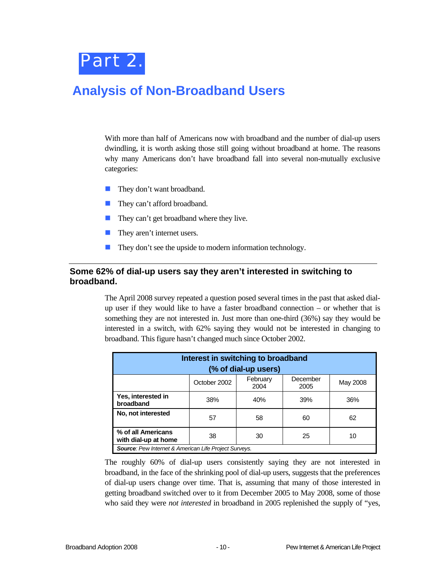

## **Analysis of Non-Broadband Users**

With more than half of Americans now with broadband and the number of dial-up users dwindling, it is worth asking those still going without broadband at home. The reasons why many Americans don't have broadband fall into several non-mutually exclusive categories:

- **They don't want broadband.**
- **They can't afford broadband.**
- **They can't get broadband where they live.**
- They aren't internet users.
- They don't see the upside to modern information technology.

#### **Some 62% of dial-up users say they aren't interested in switching to broadband.**

The April 2008 survey repeated a question posed several times in the past that asked dialup user if they would like to have a faster broadband connection – or whether that is something they are not interested in. Just more than one-third (36%) say they would be interested in a switch, with 62% saying they would not be interested in changing to broadband. This figure hasn't changed much since October 2002.

| Interest in switching to broadband<br>(% of dial-up users)         |              |                  |                  |          |  |
|--------------------------------------------------------------------|--------------|------------------|------------------|----------|--|
|                                                                    | October 2002 | February<br>2004 | December<br>2005 | May 2008 |  |
| Yes, interested in<br>broadband                                    | 38%          | 40%              | 39%              | 36%      |  |
| No, not interested                                                 | 57           | 58               | 60               | 62       |  |
| % of all Americans<br>38<br>25<br>30<br>10<br>with dial-up at home |              |                  |                  |          |  |
| <b>Source:</b> Pew Internet & American Life Project Surveys.       |              |                  |                  |          |  |

The roughly 60% of dial-up users consistently saying they are not interested in broadband, in the face of the shrinking pool of dial-up users, suggests that the preferences of dial-up users change over time. That is, assuming that many of those interested in getting broadband switched over to it from December 2005 to May 2008, some of those who said they were *not interested* in broadband in 2005 replenished the supply of "yes,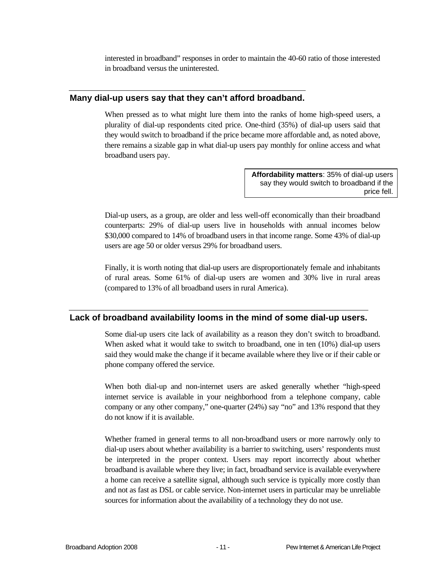interested in broadband" responses in order to maintain the 40-60 ratio of those interested in broadband versus the uninterested.

#### **Many dial-up users say that they can't afford broadband.**

When pressed as to what might lure them into the ranks of home high-speed users, a plurality of dial-up respondents cited price. One-third (35%) of dial-up users said that they would switch to broadband if the price became more affordable and, as noted above, there remains a sizable gap in what dial-up users pay monthly for online access and what broadband users pay.

> **Affordability matters**: 35% of dial-up users say they would switch to broadband if the price fell.

Dial-up users, as a group, are older and less well-off economically than their broadband counterparts: 29% of dial-up users live in households with annual incomes below \$30,000 compared to 14% of broadband users in that income range. Some 43% of dial-up users are age 50 or older versus 29% for broadband users.

Finally, it is worth noting that dial-up users are disproportionately female and inhabitants of rural areas. Some 61% of dial-up users are women and 30% live in rural areas (compared to 13% of all broadband users in rural America).

#### **Lack of broadband availability looms in the mind of some dial-up users.**

Some dial-up users cite lack of availability as a reason they don't switch to broadband. When asked what it would take to switch to broadband, one in ten (10%) dial-up users said they would make the change if it became available where they live or if their cable or phone company offered the service.

When both dial-up and non-internet users are asked generally whether "high-speed internet service is available in your neighborhood from a telephone company, cable company or any other company," one-quarter (24%) say "no" and 13% respond that they do not know if it is available.

Whether framed in general terms to all non-broadband users or more narrowly only to dial-up users about whether availability is a barrier to switching, users' respondents must be interpreted in the proper context. Users may report incorrectly about whether broadband is available where they live; in fact, broadband service is available everywhere a home can receive a satellite signal, although such service is typically more costly than and not as fast as DSL or cable service. Non-internet users in particular may be unreliable sources for information about the availability of a technology they do not use.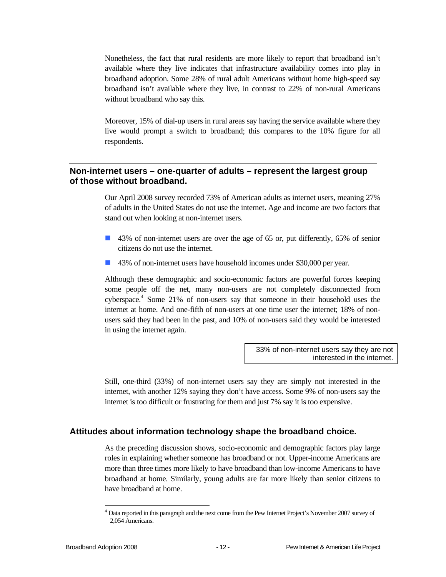Nonetheless, the fact that rural residents are more likely to report that broadband isn't available where they live indicates that infrastructure availability comes into play in broadband adoption. Some 28% of rural adult Americans without home high-speed say broadband isn't available where they live, in contrast to 22% of non-rural Americans without broadband who say this.

Moreover, 15% of dial-up users in rural areas say having the service available where they live would prompt a switch to broadband; this compares to the 10% figure for all respondents.

#### **Non-internet users – one-quarter of adults – represent the largest group of those without broadband.**

Our April 2008 survey recorded 73% of American adults as internet users, meaning 27% of adults in the United States do not use the internet. Age and income are two factors that stand out when looking at non-internet users.

- 43% of non-internet users are over the age of 65 or, put differently, 65% of senior citizens do not use the internet.
- 43% of non-internet users have household incomes under \$30,000 per year.

Although these demographic and socio-economic factors are powerful forces keeping some people off the net, many non-users are not completely disconnected from cyberspace.<sup>4</sup> Some 21% of non-users say that someone in their household uses the internet at home. And one-fifth of non-users at one time user the internet; 18% of nonusers said they had been in the past, and 10% of non-users said they would be interested in using the internet again.

> 33% of non-internet users say they are not interested in the internet.

Still, one-third (33%) of non-internet users say they are simply not interested in the internet, with another 12% saying they don't have access. Some 9% of non-users say the internet is too difficult or frustrating for them and just 7% say it is too expensive.

#### **Attitudes about information technology shape the broadband choice.**

As the preceding discussion shows, socio-economic and demographic factors play large roles in explaining whether someone has broadband or not. Upper-income Americans are more than three times more likely to have broadband than low-income Americans to have broadband at home. Similarly, young adults are far more likely than senior citizens to have broadband at home.

l

<sup>&</sup>lt;sup>4</sup> Data reported in this paragraph and the next come from the Pew Internet Project's November 2007 survey of 2,054 Americans.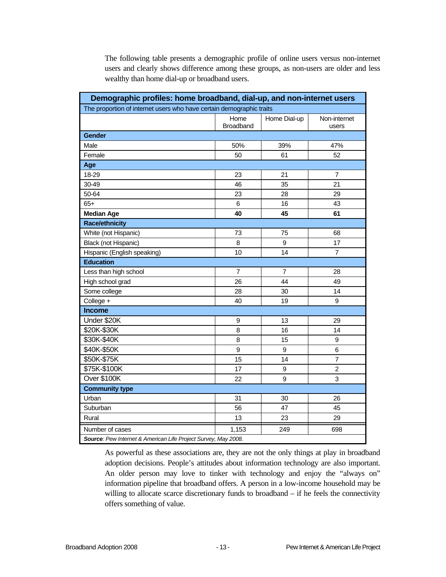The following table presents a demographic profile of online users versus non-internet users and clearly shows difference among these groups, as non-users are older and less wealthy than home dial-up or broadband users.

| Demographic profiles: home broadband, dial-up, and non-internet users |                          |                  |                       |  |  |
|-----------------------------------------------------------------------|--------------------------|------------------|-----------------------|--|--|
| The proportion of internet users who have certain demographic traits  |                          |                  |                       |  |  |
|                                                                       | Home<br><b>Broadband</b> | Home Dial-up     | Non-internet<br>users |  |  |
| <b>Gender</b>                                                         |                          |                  |                       |  |  |
| Male                                                                  | 50%                      | 39%              | 47%                   |  |  |
| Female                                                                | 50                       | 61               | 52                    |  |  |
| Age                                                                   |                          |                  |                       |  |  |
| 18-29                                                                 | 23                       | 21               | $\overline{7}$        |  |  |
| 30-49                                                                 | 46                       | 35               | 21                    |  |  |
| 50-64                                                                 | 23                       | 28               | 29                    |  |  |
| $65+$                                                                 | $\,6$                    | 16               | 43                    |  |  |
| <b>Median Age</b>                                                     | 40                       | 45               | 61                    |  |  |
| <b>Race/ethnicity</b>                                                 |                          |                  |                       |  |  |
| White (not Hispanic)                                                  | 73                       | 75               | 68                    |  |  |
| Black (not Hispanic)                                                  | 8                        | 9                | 17                    |  |  |
| Hispanic (English speaking)                                           | 10                       | 14               | $\overline{7}$        |  |  |
| <b>Education</b>                                                      |                          |                  |                       |  |  |
| Less than high school                                                 | $\overline{7}$           | $\overline{7}$   | 28                    |  |  |
| High school grad                                                      | 26                       | 44               | 49                    |  |  |
| Some college                                                          | 28                       | 30               | 14                    |  |  |
| College +                                                             | 40                       | 19               | 9                     |  |  |
| <b>Income</b>                                                         |                          |                  |                       |  |  |
| Under \$20K                                                           | $\boldsymbol{9}$         | 13               | 29                    |  |  |
| \$20K-\$30K                                                           | 8                        | 16               | 14                    |  |  |
| \$30K-\$40K                                                           | 8                        | 15               | 9                     |  |  |
| \$40K-\$50K                                                           | 9                        | 9                | 6                     |  |  |
| \$50K-\$75K                                                           | 15                       | 14               | $\overline{7}$        |  |  |
| \$75K-\$100K                                                          | 17                       | 9                | $\overline{2}$        |  |  |
| Over \$100K                                                           | 22                       | $\boldsymbol{9}$ | 3                     |  |  |
| <b>Community type</b>                                                 |                          |                  |                       |  |  |
| Urban                                                                 | 31                       | 30               | 26                    |  |  |
| Suburban                                                              | 56                       | 47               | 45                    |  |  |
| Rural                                                                 | 13                       | 23               | 29                    |  |  |
| Number of cases                                                       | 1,153                    | 249              | 698                   |  |  |
| Source: Pew Internet & American Life Project Survey, May 2008.        |                          |                  |                       |  |  |

As powerful as these associations are, they are not the only things at play in broadband adoption decisions. People's attitudes about information technology are also important. An older person may love to tinker with technology and enjoy the "always on" information pipeline that broadband offers. A person in a low-income household may be willing to allocate scarce discretionary funds to broadband – if he feels the connectivity offers something of value.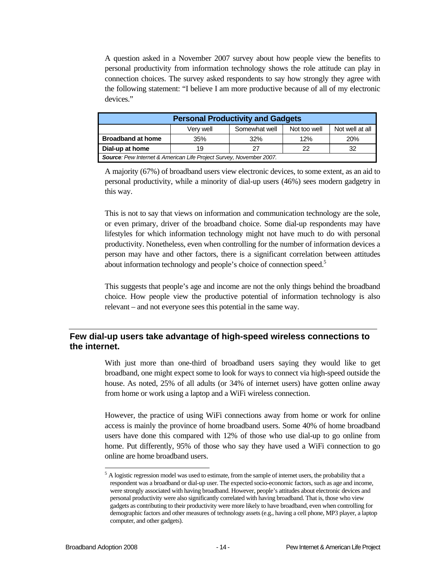A question asked in a November 2007 survey about how people view the benefits to personal productivity from information technology shows the role attitude can play in connection choices. The survey asked respondents to say how strongly they agree with the following statement: "I believe I am more productive because of all of my electronic devices."

| <b>Personal Productivity and Gadgets</b>                            |     |     |     |            |  |
|---------------------------------------------------------------------|-----|-----|-----|------------|--|
| Not well at all<br>Somewhat well<br>Not too well<br>Very well       |     |     |     |            |  |
| <b>Broadband at home</b>                                            | 35% | 32% | 12% | <b>20%</b> |  |
| Dial-up at home<br>27<br>22<br>32<br>19                             |     |     |     |            |  |
| Source: Pew Internet & American Life Project Survey, November 2007. |     |     |     |            |  |

A majority (67%) of broadband users view electronic devices, to some extent, as an aid to personal productivity, while a minority of dial-up users (46%) sees modern gadgetry in this way.

This is not to say that views on information and communication technology are the sole, or even primary, driver of the broadband choice. Some dial-up respondents may have lifestyles for which information technology might not have much to do with personal productivity. Nonetheless, even when controlling for the number of information devices a person may have and other factors, there is a significant correlation between attitudes about information technology and people's choice of connection speed.<sup>5</sup>

This suggests that people's age and income are not the only things behind the broadband choice. How people view the productive potential of information technology is also relevant – and not everyone sees this potential in the same way.

#### **Few dial-up users take advantage of high-speed wireless connections to the internet.**

With just more than one-third of broadband users saying they would like to get broadband, one might expect some to look for ways to connect via high-speed outside the house. As noted, 25% of all adults (or 34% of internet users) have gotten online away from home or work using a laptop and a WiFi wireless connection.

However, the practice of using WiFi connections away from home or work for online access is mainly the province of home broadband users. Some 40% of home broadband users have done this compared with 12% of those who use dial-up to go online from home. Put differently, 95% of those who say they have used a WiFi connection to go online are home broadband users.

l

<sup>&</sup>lt;sup>5</sup> A logistic regression model was used to estimate, from the sample of internet users, the probability that a respondent was a broadband or dial-up user. The expected socio-economic factors, such as age and income, were strongly associated with having broadband. However, people's attitudes about electronic devices and personal productivity were also significantly correlated with having broadband. That is, those who view gadgets as contributing to their productivity were more likely to have broadband, even when controlling for demographic factors and other measures of technology assets (e.g., having a cell phone, MP3 player, a laptop computer, and other gadgets).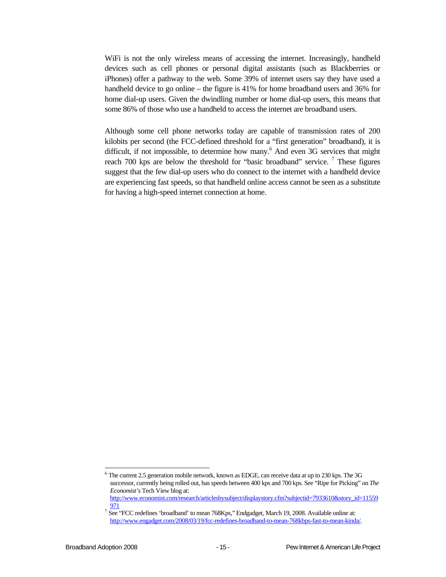WiFi is not the only wireless means of accessing the internet. Increasingly, handheld devices such as cell phones or personal digital assistants (such as Blackberries or iPhones) offer a pathway to the web. Some 39% of internet users say they have used a handheld device to go online – the figure is 41% for home broadband users and 36% for home dial-up users. Given the dwindling number or home dial-up users, this means that some 86% of those who use a handheld to access the internet are broadband users.

Although some cell phone networks today are capable of transmission rates of 200 kilobits per second (the FCC-defined threshold for a "first generation" broadband), it is difficult, if not impossible, to determine how many.<sup>6</sup> And even 3G services that might reach 700 kps are below the threshold for "basic broadband" service.  $\frac{7}{1}$  These figures suggest that the few dial-up users who do connect to the internet with a handheld device are experiencing fast speeds, so that handheld online access cannot be seen as a substitute for having a high-speed internet connection at home.

1

 $^6$  The current 2.5 generation mobile network, known as EDGE, can receive data at up to 230 kps. The 3G successor, currently being rolled out, has speeds between 400 kps and 700 kps. See "Ripe for Picking" on *The Economist's* Tech View blog at: http://www.economist.com/research/articlesbysubject/displaystory.cfm?subjectid=7933610&story\_id=11559

<sup>971</sup> 

See "FCC redefines 'broadband' to mean 768Kps," Endgadget, March 19, 2008. Available online at: http://www.engadget.com/2008/03/19/fcc-redefines-broadband-to-mean-768kbps-fast-to-mean-kinda/.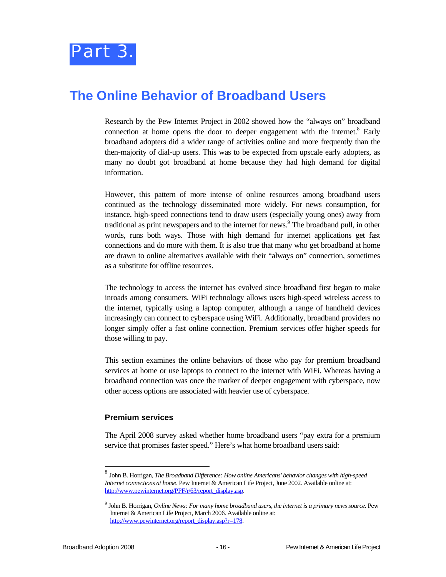### **The Online Behavior of Broadband Users**

Research by the Pew Internet Project in 2002 showed how the "always on" broadband connection at home opens the door to deeper engagement with the internet. $8$  Early broadband adopters did a wider range of activities online and more frequently than the then-majority of dial-up users. This was to be expected from upscale early adopters, as many no doubt got broadband at home because they had high demand for digital information.

However, this pattern of more intense of online resources among broadband users continued as the technology disseminated more widely. For news consumption, for instance, high-speed connections tend to draw users (especially young ones) away from traditional as print newspapers and to the internet for news.<sup>9</sup> The broadband pull, in other words, runs both ways. Those with high demand for internet applications get fast connections and do more with them. It is also true that many who get broadband at home are drawn to online alternatives available with their "always on" connection, sometimes as a substitute for offline resources.

The technology to access the internet has evolved since broadband first began to make inroads among consumers. WiFi technology allows users high-speed wireless access to the internet, typically using a laptop computer, although a range of handheld devices increasingly can connect to cyberspace using WiFi. Additionally, broadband providers no longer simply offer a fast online connection. Premium services offer higher speeds for those willing to pay.

This section examines the online behaviors of those who pay for premium broadband services at home or use laptops to connect to the internet with WiFi. Whereas having a broadband connection was once the marker of deeper engagement with cyberspace, now other access options are associated with heavier use of cyberspace.

#### **Premium services**

The April 2008 survey asked whether home broadband users "pay extra for a premium service that promises faster speed." Here's what home broadband users said:

l

<sup>8</sup> John B. Horrigan, *The Broadband Difference: How online Americans' behavior changes with high-speed Internet connections at home*. Pew Internet & American Life Project, June 2002. Available online at: http://www.pewinternet.org/PPF/r/63/report\_display.asp.

<sup>9</sup> John B. Horrigan, *Online News: For many home broadband users, the internet is a primary news source*. Pew Internet & American Life Project, March 2006. Available online at: http://www.pewinternet.org/report\_display.asp?r=178.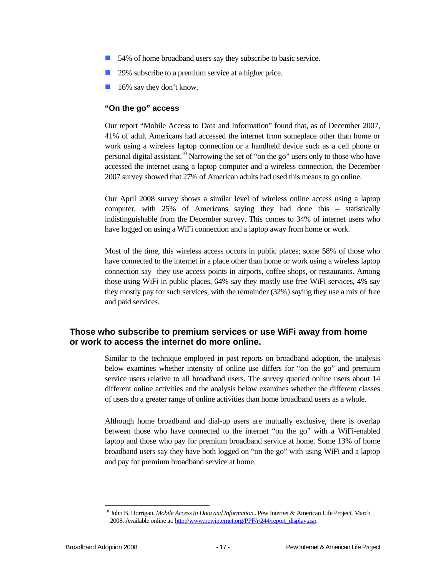- 54% of home broadband users say they subscribe to basic service.
- 29% subscribe to a premium service at a higher price.
- **16%** say they don't know.

#### **"On the go" access**

Our report "Mobile Access to Data and Information" found that, as of December 2007, 41% of adult Americans had accessed the internet from someplace other than home or work using a wireless laptop connection or a handheld device such as a cell phone or personal digital assistant.<sup>10</sup> Narrowing the set of "on the go" users only to those who have accessed the internet using a laptop computer and a wireless connection, the December 2007 survey showed that 27% of American adults had used this means to go online.

Our April 2008 survey shows a similar level of wireless online access using a laptop computer, with 25% of Americans saying they had done this – statistically indistinguishable from the December survey. This comes to 34% of internet users who have logged on using a WiFi connection and a laptop away from home or work.

Most of the time, this wireless access occurs in public places; some 58% of those who have connected to the internet in a place other than home or work using a wireless laptop connection say they use access points in airports, coffee shops, or restaurants. Among those using WiFi in public places, 64% say they mostly use free WiFi services, 4% say they mostly pay for such services, with the remainder (32%) saying they use a mix of free and paid services.

#### **Those who subscribe to premium services or use WiFi away from home or work to access the internet do more online.**

Similar to the technique employed in past reports on broadband adoption, the analysis below examines whether intensity of online use differs for "on the go" and premium service users relative to all broadband users. The survey queried online users about 14 different online activities and the analysis below examines whether the different classes of users do a greater range of online activities than home broadband users as a whole.

Although home broadband and dial-up users are mutually exclusive, there is overlap between those who have connected to the internet "on the go" with a WiFi-enabled laptop and those who pay for premium broadband service at home. Some 13% of home broadband users say they have both logged on "on the go" with using WiFi and a laptop and pay for premium broadband service at home.

<sup>1</sup> 10 John B. Horrigan, *Mobile Access to Data and Information*.. Pew Internet & American Life Project, March 2008. Available online at: http://www.pewinternet.org/PPF/r/244/report\_display.asp.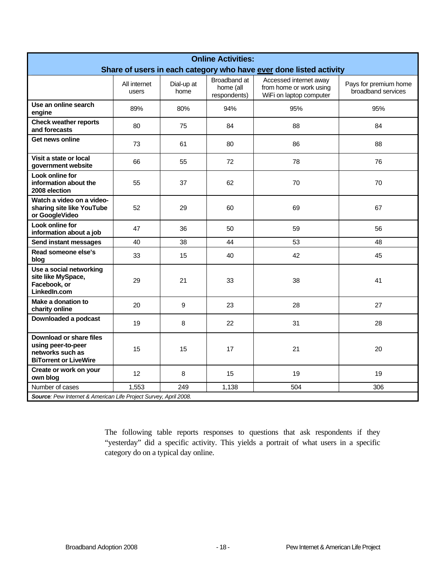| <b>Online Activities:</b><br>Share of users in each category who have ever done listed activity   |                       |                    |                                           |                                                                              |                                             |
|---------------------------------------------------------------------------------------------------|-----------------------|--------------------|-------------------------------------------|------------------------------------------------------------------------------|---------------------------------------------|
|                                                                                                   | All internet<br>users | Dial-up at<br>home | Broadband at<br>home (all<br>respondents) | Accessed internet away<br>from home or work using<br>WiFi on laptop computer | Pays for premium home<br>broadband services |
| Use an online search<br>engine                                                                    | 89%                   | 80%                | 94%                                       | 95%                                                                          | 95%                                         |
| <b>Check weather reports</b><br>and forecasts                                                     | 80                    | 75                 | 84                                        | 88                                                                           | 84                                          |
| Get news online                                                                                   | 73                    | 61                 | 80                                        | 86                                                                           | 88                                          |
| Visit a state or local<br>government website                                                      | 66                    | 55                 | 72                                        | 78                                                                           | 76                                          |
| Look online for<br>information about the<br>2008 election                                         | 55                    | 37                 | 62                                        | 70                                                                           | 70                                          |
| Watch a video on a video-<br>sharing site like YouTube<br>or GoogleVideo                          | 52                    | 29                 | 60                                        | 69                                                                           | 67                                          |
| Look online for<br>information about a job                                                        | 47                    | 36                 | 50                                        | 59                                                                           | 56                                          |
| Send instant messages                                                                             | 40                    | 38                 | 44                                        | 53                                                                           | 48                                          |
| Read someone else's<br>blog                                                                       | 33                    | 15                 | 40                                        | 42                                                                           | 45                                          |
| Use a social networking<br>site like MySpace,<br>Facebook, or<br>LinkedIn.com                     | 29                    | 21                 | 33                                        | 38                                                                           | 41                                          |
| Make a donation to<br>charity online                                                              | 20                    | 9                  | 23                                        | 28                                                                           | 27                                          |
| Downloaded a podcast                                                                              | 19                    | 8                  | 22                                        | 31                                                                           | 28                                          |
| Download or share files<br>using peer-to-peer<br>networks such as<br><b>BiTorrent or LiveWire</b> | 15                    | 15                 | 17                                        | 21                                                                           | 20                                          |
| Create or work on your<br>own blog                                                                | 12                    | 8                  | 15                                        | 19                                                                           | 19                                          |
| Number of cases                                                                                   | 1,553                 | 249                | 1,138                                     | 504                                                                          | 306                                         |
| Source: Pew Internet & American Life Project Survey, April 2008.                                  |                       |                    |                                           |                                                                              |                                             |

The following table reports responses to questions that ask respondents if they "yesterday" did a specific activity. This yields a portrait of what users in a specific category do on a typical day online.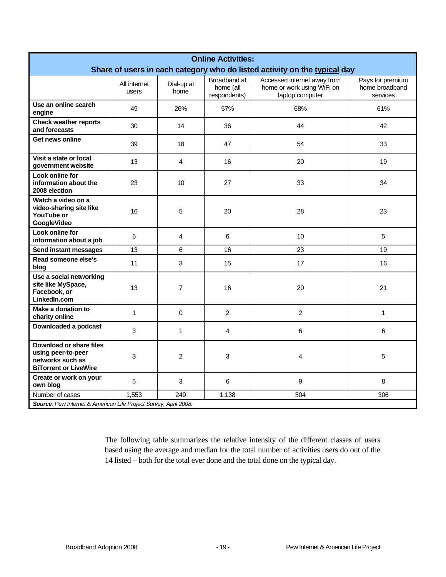| <b>Online Activities:</b><br>Share of users in each category who do listed activity on the typical day |                       |                    |                                           |                                                                              |                                                |
|--------------------------------------------------------------------------------------------------------|-----------------------|--------------------|-------------------------------------------|------------------------------------------------------------------------------|------------------------------------------------|
|                                                                                                        | All internet<br>users | Dial-up at<br>home | Broadband at<br>home (all<br>respondents) | Accessed internet away from<br>home or work using WiFi on<br>laptop computer | Pays for premium<br>home broadband<br>services |
| Use an online search<br>engine                                                                         | 49                    | 26%                | 57%                                       | 68%                                                                          | 61%                                            |
| <b>Check weather reports</b><br>and forecasts                                                          | 30                    | 14                 | 36                                        | 44                                                                           | 42                                             |
| Get news online                                                                                        | 39                    | 18                 | 47                                        | 54                                                                           | 33                                             |
| Visit a state or local<br>government website                                                           | 13                    | 4                  | 16                                        | 20                                                                           | 19                                             |
| Look online for<br>information about the<br>2008 election                                              | 23                    | 10                 | 27                                        | 33                                                                           | 34                                             |
| Watch a video on a<br>video-sharing site like<br>YouTube or<br>GoogleVideo                             | 16                    | 5                  | 20                                        | 28                                                                           | 23                                             |
| Look online for<br>information about a job                                                             | 6                     | 4                  | 6                                         | 10                                                                           | 5                                              |
| Send instant messages                                                                                  | 13                    | 6                  | 16                                        | 23                                                                           | 19                                             |
| Read someone else's<br>blog                                                                            | 11                    | 3                  | 15                                        | 17                                                                           | 16                                             |
| Use a social networking<br>site like MySpace,<br>Facebook, or<br>LinkedIn.com                          | 13                    | $\overline{7}$     | 16                                        | 20                                                                           | 21                                             |
| Make a donation to<br>charity online                                                                   | 1                     | 0                  | $\overline{2}$                            | $\overline{c}$                                                               | 1                                              |
| Downloaded a podcast                                                                                   | 3                     | $\mathbf{1}$       | 4                                         | 6                                                                            | 6                                              |
| Download or share files<br>using peer-to-peer<br>networks such as<br><b>BiTorrent or LiveWire</b>      | 3                     | $\overline{2}$     | 3                                         | 4                                                                            | 5                                              |
| Create or work on your<br>own blog                                                                     | 5                     | 3                  | 6                                         | 9                                                                            | 8                                              |
| Number of cases                                                                                        | 1,553                 | 249                | 1,138                                     | 504                                                                          | 306                                            |
| Source: Pew Internet & American Life Project Survey, April 2008.                                       |                       |                    |                                           |                                                                              |                                                |

The following table summarizes the relative intensity of the different classes of users based using the average and median for the total number of activities users do out of the 14 listed – both for the total ever done and the total done on the typical day.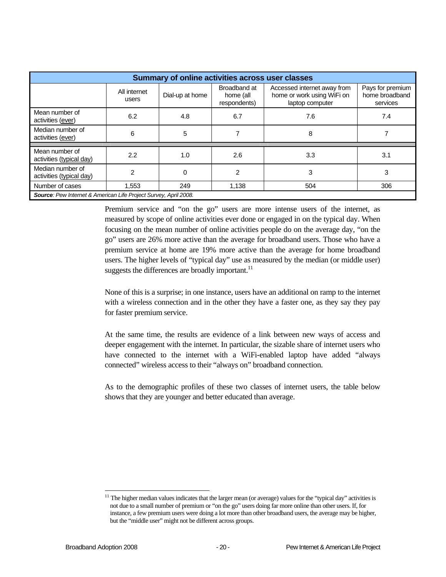| Summary of online activities across user classes                 |                       |                 |                                           |                                                                              |                                                |
|------------------------------------------------------------------|-----------------------|-----------------|-------------------------------------------|------------------------------------------------------------------------------|------------------------------------------------|
|                                                                  | All internet<br>users | Dial-up at home | Broadband at<br>home (all<br>respondents) | Accessed internet away from<br>home or work using WiFi on<br>laptop computer | Pays for premium<br>home broadband<br>services |
| Mean number of<br>activities (ever)                              | 6.2                   | 4.8             | 6.7                                       | 7.6                                                                          | 7.4                                            |
| Median number of<br>activities (ever)                            | 6                     | 5               |                                           | 8                                                                            |                                                |
| Mean number of                                                   |                       |                 |                                           |                                                                              |                                                |
| activities (typical day)                                         | $2.2\phantom{0}$      | 1.0             | 2.6                                       | 3.3                                                                          | 3.1                                            |
| Median number of<br>activities (typical day)                     | 2                     | 0               | 2                                         | 3                                                                            | 3                                              |
| Number of cases                                                  | 1.553                 | 249             | 1.138                                     | 504                                                                          | 306                                            |
| Source: Pew Internet & American Life Project Survey, April 2008. |                       |                 |                                           |                                                                              |                                                |

Premium service and "on the go" users are more intense users of the internet, as measured by scope of online activities ever done or engaged in on the typical day. When focusing on the mean number of online activities people do on the average day, "on the go" users are 26% more active than the average for broadband users. Those who have a premium service at home are 19% more active than the average for home broadband users. The higher levels of "typical day" use as measured by the median (or middle user) suggests the differences are broadly important. $^{11}$ 

None of this is a surprise; in one instance, users have an additional on ramp to the internet with a wireless connection and in the other they have a faster one, as they say they pay for faster premium service.

At the same time, the results are evidence of a link between new ways of access and deeper engagement with the internet. In particular, the sizable share of internet users who have connected to the internet with a WiFi-enabled laptop have added "always connected" wireless access to their "always on" broadband connection.

As to the demographic profiles of these two classes of internet users, the table below shows that they are younger and better educated than average.

1

 $11$  The higher median values indicates that the larger mean (or average) values for the "typical day" activities is not due to a small number of premium or "on the go" users doing far more online than other users. If, for instance, a few premium users were doing a lot more than other broadband users, the average may be higher, but the "middle user" might not be different across groups.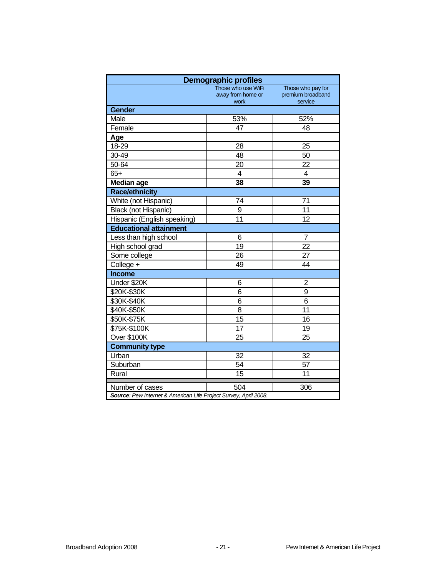| <b>Demographic profiles</b>                                      |                           |                              |  |  |  |  |
|------------------------------------------------------------------|---------------------------|------------------------------|--|--|--|--|
|                                                                  | Those who use WiFi        | Those who pay for            |  |  |  |  |
|                                                                  | away from home or<br>work | premium broadband<br>service |  |  |  |  |
| <b>Gender</b>                                                    |                           |                              |  |  |  |  |
| Male                                                             | 53%                       | 52%                          |  |  |  |  |
| Female                                                           | 47                        | 48                           |  |  |  |  |
| Age                                                              |                           |                              |  |  |  |  |
| 18-29                                                            | 28                        | 25                           |  |  |  |  |
| 30-49                                                            | 48                        | 50                           |  |  |  |  |
| 50-64                                                            | 20                        | 22                           |  |  |  |  |
| $65+$                                                            | 4                         | 4                            |  |  |  |  |
| <b>Median age</b>                                                | 38                        | 39                           |  |  |  |  |
| <b>Race/ethnicity</b>                                            |                           |                              |  |  |  |  |
| White (not Hispanic)                                             | 74                        | 71                           |  |  |  |  |
| <b>Black (not Hispanic)</b>                                      | 9                         | 11                           |  |  |  |  |
| Hispanic (English speaking)                                      | 11                        | 12                           |  |  |  |  |
| <b>Educational attainment</b>                                    |                           |                              |  |  |  |  |
| Less than high school                                            | 6                         | $\overline{7}$               |  |  |  |  |
| High school grad                                                 | 19                        | 22                           |  |  |  |  |
| Some college                                                     | 26                        | 27                           |  |  |  |  |
| College +                                                        | 49                        | 44                           |  |  |  |  |
| <b>Income</b>                                                    |                           |                              |  |  |  |  |
| Under \$20K                                                      | 6                         | 2                            |  |  |  |  |
| \$20K-\$30K                                                      | 6                         | 9                            |  |  |  |  |
| \$30K-\$40K                                                      | 6                         | 6                            |  |  |  |  |
| \$40K-\$50K                                                      | 8                         | 11                           |  |  |  |  |
| \$50K-\$75K                                                      | 15                        | 16                           |  |  |  |  |
| \$75K-\$100K                                                     | 17                        | $\overline{19}$              |  |  |  |  |
| Over \$100K                                                      | 25                        | 25                           |  |  |  |  |
| <b>Community type</b>                                            |                           |                              |  |  |  |  |
| Urban                                                            | 32                        | 32                           |  |  |  |  |
| Suburban                                                         | 54                        | 57                           |  |  |  |  |
| Rural                                                            | 15                        | 11                           |  |  |  |  |
| Number of cases                                                  | 504                       | 306                          |  |  |  |  |
| Source: Pew Internet & American Life Project Survey, April 2008. |                           |                              |  |  |  |  |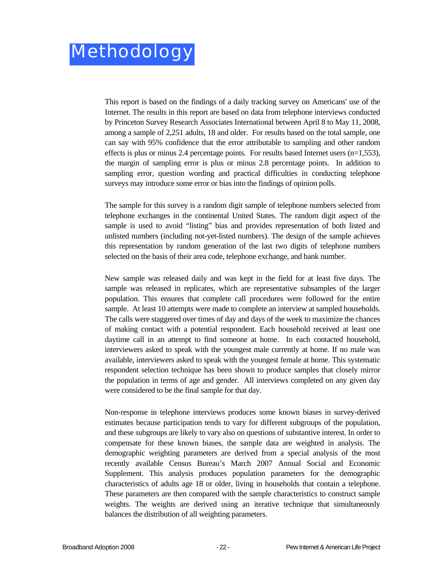This report is based on the findings of a daily tracking survey on Americans' use of the Internet. The results in this report are based on data from telephone interviews conducted by Princeton Survey Research Associates International between April 8 to May 11, 2008, among a sample of 2,251 adults, 18 and older. For results based on the total sample, one can say with 95% confidence that the error attributable to sampling and other random effects is plus or minus 2.4 percentage points. For results based Internet users  $(n=1,553)$ , the margin of sampling error is plus or minus 2.8 percentage points. In addition to sampling error, question wording and practical difficulties in conducting telephone surveys may introduce some error or bias into the findings of opinion polls.

The sample for this survey is a random digit sample of telephone numbers selected from telephone exchanges in the continental United States. The random digit aspect of the sample is used to avoid "listing" bias and provides representation of both listed and unlisted numbers (including not-yet-listed numbers). The design of the sample achieves this representation by random generation of the last two digits of telephone numbers selected on the basis of their area code, telephone exchange, and bank number.

New sample was released daily and was kept in the field for at least five days. The sample was released in replicates, which are representative subsamples of the larger population. This ensures that complete call procedures were followed for the entire sample. At least 10 attempts were made to complete an interview at sampled households. The calls were staggered over times of day and days of the week to maximize the chances of making contact with a potential respondent. Each household received at least one daytime call in an attempt to find someone at home. In each contacted household, interviewers asked to speak with the youngest male currently at home. If no male was available, interviewers asked to speak with the youngest female at home. This systematic respondent selection technique has been shown to produce samples that closely mirror the population in terms of age and gender. All interviews completed on any given day were considered to be the final sample for that day.

Non-response in telephone interviews produces some known biases in survey-derived estimates because participation tends to vary for different subgroups of the population, and these subgroups are likely to vary also on questions of substantive interest. In order to compensate for these known biases, the sample data are weighted in analysis. The demographic weighting parameters are derived from a special analysis of the most recently available Census Bureau's March 2007 Annual Social and Economic Supplement. This analysis produces population parameters for the demographic characteristics of adults age 18 or older, living in households that contain a telephone. These parameters are then compared with the sample characteristics to construct sample weights. The weights are derived using an iterative technique that simultaneously balances the distribution of all weighting parameters.